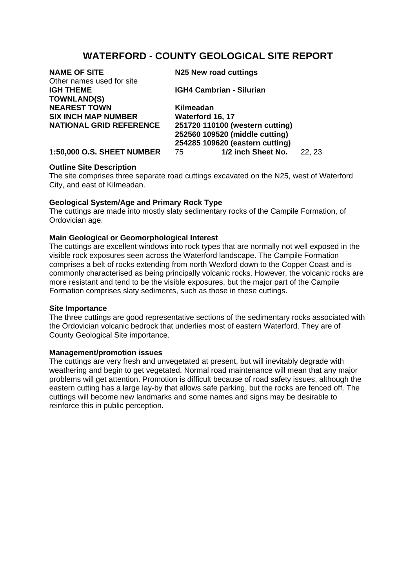# **WATERFORD - COUNTY GEOLOGICAL SITE REPORT**

| <b>NAME OF SITE</b><br>Other names used for site | N25 New road cuttings                                                                                |        |
|--------------------------------------------------|------------------------------------------------------------------------------------------------------|--------|
| <b>IGH THEME</b><br><b>TOWNLAND(S)</b>           | <b>IGH4 Cambrian - Silurian</b>                                                                      |        |
| <b>NEAREST TOWN</b>                              | Kilmeadan                                                                                            |        |
| <b>SIX INCH MAP NUMBER</b>                       | Waterford 16, 17                                                                                     |        |
| <b>NATIONAL GRID REFERENCE</b>                   | 251720 110100 (western cutting)<br>252560 109520 (middle cutting)<br>254285 109620 (eastern cutting) |        |
| <b>1:50,000 O.S. SHEET NUMBER</b>                | 1/2 inch Sheet No.<br>75                                                                             | 22, 23 |

# **Outline Site Description**

The site comprises three separate road cuttings excavated on the N25, west of Waterford City, and east of Kilmeadan.

## **Geological System/Age and Primary Rock Type**

The cuttings are made into mostly slaty sedimentary rocks of the Campile Formation, of Ordovician age.

## **Main Geological or Geomorphological Interest**

The cuttings are excellent windows into rock types that are normally not well exposed in the visible rock exposures seen across the Waterford landscape. The Campile Formation comprises a belt of rocks extending from north Wexford down to the Copper Coast and is commonly characterised as being principally volcanic rocks. However, the volcanic rocks are more resistant and tend to be the visible exposures, but the major part of the Campile Formation comprises slaty sediments, such as those in these cuttings.

### **Site Importance**

The three cuttings are good representative sections of the sedimentary rocks associated with the Ordovician volcanic bedrock that underlies most of eastern Waterford. They are of County Geological Site importance.

### **Management/promotion issues**

The cuttings are very fresh and unvegetated at present, but will inevitably degrade with weathering and begin to get vegetated. Normal road maintenance will mean that any major problems will get attention. Promotion is difficult because of road safety issues, although the eastern cutting has a large lay-by that allows safe parking, but the rocks are fenced off. The cuttings will become new landmarks and some names and signs may be desirable to reinforce this in public perception.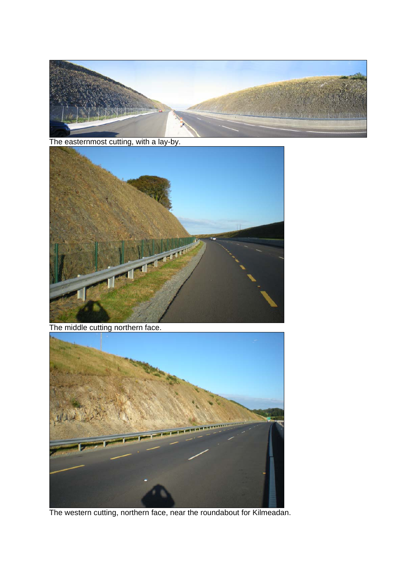

The easternmost cutting, with a lay-by.



The middle cutting northern face.



The western cutting, northern face, near the roundabout for Kilmeadan.